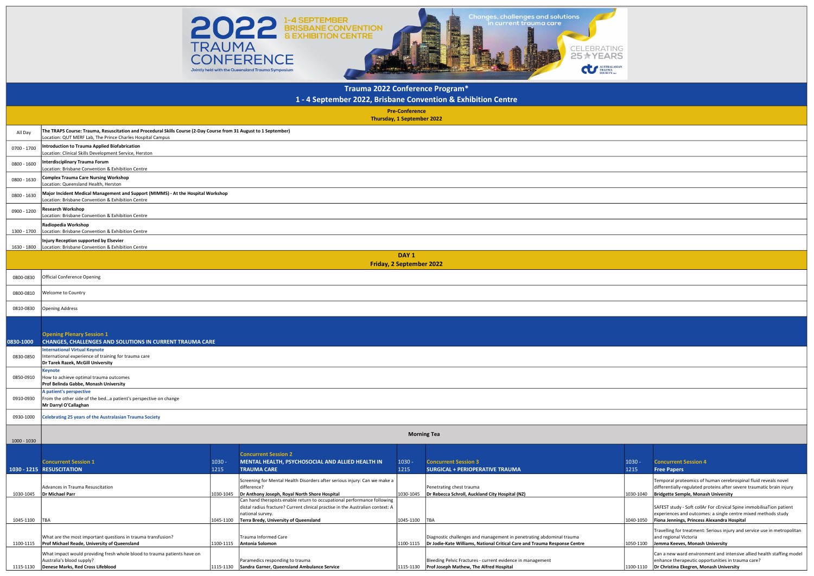Paramedics responding to trauma 1115-1130 Sandra Garner, Queensland Ambulance Service

| NG                 |                  |                                                                                                                                                                                       |
|--------------------|------------------|---------------------------------------------------------------------------------------------------------------------------------------------------------------------------------------|
| 55<br><b>ASIAN</b> |                  |                                                                                                                                                                                       |
|                    |                  |                                                                                                                                                                                       |
|                    |                  |                                                                                                                                                                                       |
|                    |                  |                                                                                                                                                                                       |
|                    |                  |                                                                                                                                                                                       |
|                    |                  |                                                                                                                                                                                       |
|                    |                  |                                                                                                                                                                                       |
|                    |                  |                                                                                                                                                                                       |
|                    |                  |                                                                                                                                                                                       |
|                    |                  |                                                                                                                                                                                       |
|                    |                  |                                                                                                                                                                                       |
|                    |                  |                                                                                                                                                                                       |
|                    |                  |                                                                                                                                                                                       |
|                    |                  |                                                                                                                                                                                       |
|                    |                  |                                                                                                                                                                                       |
|                    |                  |                                                                                                                                                                                       |
|                    |                  |                                                                                                                                                                                       |
|                    |                  |                                                                                                                                                                                       |
|                    |                  |                                                                                                                                                                                       |
|                    |                  |                                                                                                                                                                                       |
|                    | $1030 -$<br>1215 | <b>Concurrent Session 4</b><br><b>Free Papers</b>                                                                                                                                     |
|                    | 1030-1040        | Temporal proteomics of human cerebrospinal fluid reveals novel<br>differentially-regulated proteins after severe traumatic brain injury<br><b>Bridgette Semple, Monash University</b> |
|                    | 1040-1050        | SAFEST study - Soft collAr For cErvical Spine immobilisaTion patient<br>experiences and outcomes: a single centre mixed methods study<br>Fiona Jennings, Princess Alexandra Hospital  |
|                    |                  | Travelling for treatment: Serious injury and service use in metropolitan<br>and regional Victoria                                                                                     |

1115-1130 Denese Marks, Red Cross Lifeblood 1115-1130

|               |                                                                                                                                                                                 |           |                                                                                                                                             | <b>Pre-Conference</b><br>Thursday, 1 September 2022 |                                                                                                                                                               |           |                                                                                                                   |  |  |  |  |
|---------------|---------------------------------------------------------------------------------------------------------------------------------------------------------------------------------|-----------|---------------------------------------------------------------------------------------------------------------------------------------------|-----------------------------------------------------|---------------------------------------------------------------------------------------------------------------------------------------------------------------|-----------|-------------------------------------------------------------------------------------------------------------------|--|--|--|--|
| All Day       | The TRAPS Course: Trauma, Resuscitation and Procedural Skills Course (2-Day Course from 31 August to 1 September)<br>Location: QUT MERF Lab, The Prince Charles Hospital Campus |           |                                                                                                                                             |                                                     |                                                                                                                                                               |           |                                                                                                                   |  |  |  |  |
| 0700 - 1700   | <b>Introduction to Trauma Applied Biofabrication</b><br>Location: Clinical Skills Development Service, Herston                                                                  |           |                                                                                                                                             |                                                     |                                                                                                                                                               |           |                                                                                                                   |  |  |  |  |
| 0800 - 1600   | Interdisciplinary Trauma Forum<br>Location: Brisbane Convention & Exhibition Centre                                                                                             |           |                                                                                                                                             |                                                     |                                                                                                                                                               |           |                                                                                                                   |  |  |  |  |
| 0800 - 1630   | Complex Trauma Care Nursing Workshop<br>Location: Queensland Health, Herston                                                                                                    |           |                                                                                                                                             |                                                     |                                                                                                                                                               |           |                                                                                                                   |  |  |  |  |
| 0800 - 1630   | Major Incident Medical Management and Support (MIMMS) - At the Hospital Workshop<br>Location: Brisbane Convention & Exhibition Centre                                           |           |                                                                                                                                             |                                                     |                                                                                                                                                               |           |                                                                                                                   |  |  |  |  |
| 0900 - 1200   | <b>Research Workshop</b><br>Location: Brisbane Convention & Exhibition Centre                                                                                                   |           |                                                                                                                                             |                                                     |                                                                                                                                                               |           |                                                                                                                   |  |  |  |  |
| 1300 - 1700   | Radiopedia Workshop<br>Location: Brisbane Convention & Exhibition Centre                                                                                                        |           |                                                                                                                                             |                                                     |                                                                                                                                                               |           |                                                                                                                   |  |  |  |  |
| 1630 - 1800   | Injury Reception supported by Elsevier<br>Location: Brisbane Convention & Exhibition Centre                                                                                     |           |                                                                                                                                             |                                                     |                                                                                                                                                               |           |                                                                                                                   |  |  |  |  |
|               |                                                                                                                                                                                 |           |                                                                                                                                             | DAY <sub>1</sub><br><b>Friday, 2 September 2022</b> |                                                                                                                                                               |           |                                                                                                                   |  |  |  |  |
| 0800-0830     | <b>Official Conference Opening</b>                                                                                                                                              |           |                                                                                                                                             |                                                     |                                                                                                                                                               |           |                                                                                                                   |  |  |  |  |
| 0800-0810     | Welcome to Country                                                                                                                                                              |           |                                                                                                                                             |                                                     |                                                                                                                                                               |           |                                                                                                                   |  |  |  |  |
| 0810-0830     | <b>Opening Address</b>                                                                                                                                                          |           |                                                                                                                                             |                                                     |                                                                                                                                                               |           |                                                                                                                   |  |  |  |  |
|               |                                                                                                                                                                                 |           |                                                                                                                                             |                                                     |                                                                                                                                                               |           |                                                                                                                   |  |  |  |  |
| 0830-1000     | <b>Opening Plenary Session 1</b><br><b>CHANGES, CHALLENGES AND SOLUTIONS IN CURRENT TRAUMA CARE</b>                                                                             |           |                                                                                                                                             |                                                     |                                                                                                                                                               |           |                                                                                                                   |  |  |  |  |
| 0830-0850     | <b>International Virtual Keynote</b><br>International experience of training for trauma care<br>Dr Tarek Razek, McGill University                                               |           |                                                                                                                                             |                                                     |                                                                                                                                                               |           |                                                                                                                   |  |  |  |  |
| 0850-0910     | Keynote<br>How to achieve optimal trauma outcomes<br>Prof Belinda Gabbe, Monash University                                                                                      |           |                                                                                                                                             |                                                     |                                                                                                                                                               |           |                                                                                                                   |  |  |  |  |
| 0910-0930     | A patient's perspective<br>From the other side of the beda patient's perspective on change<br>Mr Darryl O'Callaghan                                                             |           |                                                                                                                                             |                                                     |                                                                                                                                                               |           |                                                                                                                   |  |  |  |  |
| 0930-1000     | Celebrating 25 years of the Australasian Trauma Society                                                                                                                         |           |                                                                                                                                             |                                                     |                                                                                                                                                               |           |                                                                                                                   |  |  |  |  |
| 1000 - 1030   |                                                                                                                                                                                 |           |                                                                                                                                             |                                                     | <b>Morning Tea</b>                                                                                                                                            |           |                                                                                                                   |  |  |  |  |
|               |                                                                                                                                                                                 |           | <b>Concurrent Session 2</b>                                                                                                                 |                                                     |                                                                                                                                                               |           |                                                                                                                   |  |  |  |  |
|               | <b>Concurrent Session 1</b>                                                                                                                                                     | $1030 -$  | MENTAL HEALTH, PSYCHOSOCIAL AND ALLIED HEALTH IN                                                                                            | $1030 -$                                            | <b>Concurrent Session 3</b>                                                                                                                                   | $1030 -$  | <b>Concurrent Session 4</b>                                                                                       |  |  |  |  |
|               | 1030 - 1215 RESUSCITATION                                                                                                                                                       | 1215      | <b>TRAUMA CARE</b>                                                                                                                          | 1215                                                | <b>SURGICAL + PERIOPERATIVE TRAUMA</b>                                                                                                                        | 1215      | <b>Free Papers</b>                                                                                                |  |  |  |  |
|               | Advances in Trauma Resuscitation                                                                                                                                                |           | Screening for Mental Health Disorders after serious injury: Can we make a<br>difference?                                                    |                                                     | Penetrating chest trauma                                                                                                                                      |           | Temporal proteomics of human cer<br>differentially-regulated proteins aft                                         |  |  |  |  |
| 1030-1045     | Dr Michael Parr                                                                                                                                                                 |           | 1030-1045   Dr Anthony Joseph, Royal North Shore Hospital<br>Can hand therapists enable return to occupational performance following        | 1030-1045                                           | Dr Rebecca Schroll, Auckland City Hospital (NZ)                                                                                                               | 1030-1040 | Bridgette Semple, Monash Univers                                                                                  |  |  |  |  |
| 1045-1100 TBA |                                                                                                                                                                                 | 1045-1100 | distal radius fracture? Current clinical practise in the Australian context: A<br>national survey.<br>Terra Bredy, University of Queensland | 1045-1100 TBA                                       |                                                                                                                                                               | 1040-1050 | SAFEST study - Soft collAr For cErvic<br>experiences and outcomes: a single<br>Fiona Jennings, Princess Alexandra |  |  |  |  |
|               |                                                                                                                                                                                 |           |                                                                                                                                             |                                                     |                                                                                                                                                               |           | Travelling for treatment: Serious inj                                                                             |  |  |  |  |
| 1100-1115     | What are the most important questions in trauma transfusion?<br>Prof Michael Reade, University of Queensland                                                                    |           | Trauma Informed Care<br>1100-1115   Antonia Solomon                                                                                         |                                                     | Diagnostic challenges and management in penetrating abdominal trauma<br>1100-1115   Dr Jodie-Kate Williams, National Critical Care and Trauma Response Centre | 1050-1100 | and regional Victoria<br>Jemma Keeves, Monash University                                                          |  |  |  |  |
|               | What impact would providing fresh whole blood to trauma patients have on                                                                                                        |           |                                                                                                                                             |                                                     |                                                                                                                                                               |           | Can a new ward environment and i                                                                                  |  |  |  |  |

Australia's blood supply?

Bleeding Pelvic Fractures - current evidence in management

 $\vert$ 1115-1130 Prof Joseph Mathew, The Alfred Hospital

Can a new ward environment and intensive allied health staffing model

enhance therapeutic opportunities in trauma care?

1100-1110 **Dr Christina Ekegren, Monash University** 



## Trauma 2022 Conference Program\*

1 - 4 September 2022, Brisbane Convention & Exhibition Centre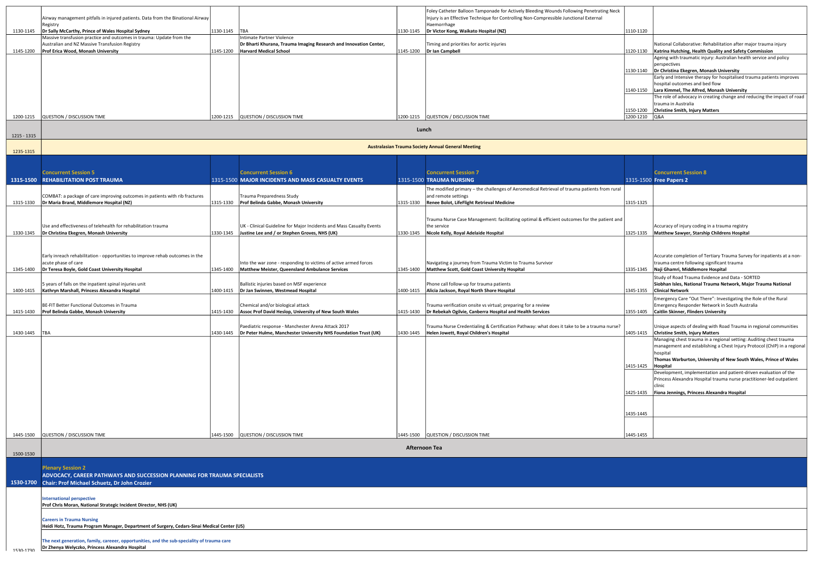| 1130-1145   | Airway management pitfalls in injured patients. Data from the Binational Airway<br>Registry<br>Dr Sally McCarthy, Prince of Wales Hospital Sydney                                         | 1130-1145 | <b>TBA</b>                                                                                                                      | 1130-1145     | Foley Catheter Balloon Tamponade for Actively Bleeding Wounds Following Penetrating Neck<br>Injury is an Effective Technique for Controlling Non-Compressible Junctional External<br>Haemorrhage<br>Dr Victor Kong, Waikato Hospital (NZ) | 1110-1120 |
|-------------|-------------------------------------------------------------------------------------------------------------------------------------------------------------------------------------------|-----------|---------------------------------------------------------------------------------------------------------------------------------|---------------|-------------------------------------------------------------------------------------------------------------------------------------------------------------------------------------------------------------------------------------------|-----------|
| 1145-1200   | Massive transfusion practice and outcomes in trauma: Update from the<br>Australian and NZ Massive Transfusion Registry<br>Prof Erica Wood, Monash University                              | 1145-1200 | Intimate Partner Violence<br>Dr Bharti Khurana, Trauma Imaging Research and Innovation Center,<br><b>Harvard Medical School</b> | 1145-1200     | Timing and priorities for aortic injuries<br>Dr Ian Campbell                                                                                                                                                                              | 1120-1130 |
|             |                                                                                                                                                                                           |           |                                                                                                                                 |               |                                                                                                                                                                                                                                           |           |
|             |                                                                                                                                                                                           |           |                                                                                                                                 |               |                                                                                                                                                                                                                                           | 1130-1140 |
|             |                                                                                                                                                                                           |           |                                                                                                                                 |               |                                                                                                                                                                                                                                           | 1140-1150 |
|             |                                                                                                                                                                                           |           |                                                                                                                                 |               |                                                                                                                                                                                                                                           | 1150-1200 |
| 1200-1215   | QUESTION / DISCUSSION TIME                                                                                                                                                                | 1200-1215 | QUESTION / DISCUSSION TIME                                                                                                      |               | 1200-1215   QUESTION / DISCUSSION TIME                                                                                                                                                                                                    | 1200-1210 |
| 1215 - 1315 |                                                                                                                                                                                           |           |                                                                                                                                 | Lunch         |                                                                                                                                                                                                                                           |           |
| 1235-1315   |                                                                                                                                                                                           |           |                                                                                                                                 |               | <b>Australasian Trauma Society Annual General Meeting</b>                                                                                                                                                                                 |           |
|             |                                                                                                                                                                                           |           |                                                                                                                                 |               |                                                                                                                                                                                                                                           |           |
|             | <b>Concurrent Session 5</b><br>1315-1500 REHABILITATION POST TRAUMA                                                                                                                       |           | <b>Concurrent Session 6</b><br>1315-1500 MAJOR INCIDENTS AND MASS CASUALTY EVENTS                                               |               | <b>Concurrent Session 7</b><br>1315-1500 TRAUMA NURSING                                                                                                                                                                                   | 1315-1500 |
|             | COMBAT: a package of care improving outcomes in patients with rib fractures                                                                                                               |           | Trauma Preparedness Study                                                                                                       |               | The modified primary - the challenges of Aeromedical Retrieval of trauma patients from rural<br>and remote settings                                                                                                                       |           |
| 1315-1330   | Dr Maria Brand, Middlemore Hospital (NZ)                                                                                                                                                  | 1315-1330 | Prof Belinda Gabbe, Monash University                                                                                           | 1315-1330     | Renee Bolot, LifeFlight Retrieval Medicine                                                                                                                                                                                                | 1315-1325 |
|             | Use and effectiveness of telehealth for rehabilitation trauma                                                                                                                             |           | UK - Clinical Guideline for Major Incidents and Mass Casualty Events                                                            |               | Trauma Nurse Case Management: facilitating optimal & efficient outcomes for the patient and<br>the service                                                                                                                                |           |
| 1330-1345   | Dr Christina Ekegren, Monash University                                                                                                                                                   | 1330-1345 | Justine Lee and / or Stephen Groves, NHS (UK)                                                                                   | 1330-1345     | Nicole Kelly, Royal Adelaide Hospital                                                                                                                                                                                                     | 1325-1335 |
|             | Early inreach rehabilitation - opportunities to improve rehab outcomes in the                                                                                                             |           |                                                                                                                                 |               |                                                                                                                                                                                                                                           |           |
| 1345-1400   | acute phase of care<br>Dr Teresa Boyle, Gold Coast University Hospital                                                                                                                    | 1345-1400 | Into the war zone - responding to victims of active armed forces<br>Matthew Meister, Queensland Ambulance Services              | 1345-1400     | Navigating a journey from Trauma Victim to Trauma Survivor<br>Matthew Scott, Gold Coast University Hospital                                                                                                                               | 1335-1345 |
| 1400-1415   | 5 years of falls on the inpatient spinal injuries unit<br>Kathryn Marshall, Princess Alexandra Hospital                                                                                   | 1400-1415 | Ballistic injuries based on MSF experience<br>Dr Jan Swinnen, Westmead Hospital                                                 | 1400-1415     | Phone call follow-up for trauma patients<br>Alicia Jackson, Royal North Shore Hospital                                                                                                                                                    | 1345-1355 |
|             | BE-FIT Better Functional Outcomes in Trauma                                                                                                                                               |           | Chemical and/or biological attack                                                                                               |               | Trauma verification onsite vs virtual; preparing for a review                                                                                                                                                                             |           |
| 1415-1430   | Prof Belinda Gabbe, Monash University                                                                                                                                                     | 1415-1430 | Assoc Prof David Heslop, University of New South Wales                                                                          | 1415-1430     | Dr Rebekah Ogilvie, Canberra Hospital and Health Services                                                                                                                                                                                 | 1355-1405 |
| 1430-1445   | TBA                                                                                                                                                                                       | 1430-1445 | Paediatric response - Manchester Arena Attack 2017<br>Dr Peter Hulme, Manchester University NHS Foundation Trust (UK)           | 1430-1445     | Trauma Nurse Credentialing & Certification Pathway: what does it take to be a trauma nurse?<br>Helen Jowett, Royal Children's Hospital                                                                                                    | 1405-1415 |
|             |                                                                                                                                                                                           |           |                                                                                                                                 |               |                                                                                                                                                                                                                                           |           |
|             |                                                                                                                                                                                           |           |                                                                                                                                 |               |                                                                                                                                                                                                                                           | 1415-1425 |
|             |                                                                                                                                                                                           |           |                                                                                                                                 |               |                                                                                                                                                                                                                                           |           |
|             |                                                                                                                                                                                           |           |                                                                                                                                 |               |                                                                                                                                                                                                                                           | 1425-1435 |
|             |                                                                                                                                                                                           |           |                                                                                                                                 |               |                                                                                                                                                                                                                                           | 1435-1445 |
|             |                                                                                                                                                                                           |           |                                                                                                                                 |               |                                                                                                                                                                                                                                           |           |
| 1445-1500   | QUESTION / DISCUSSION TIME                                                                                                                                                                | 1445-1500 | QUESTION / DISCUSSION TIME                                                                                                      | 1445-1500     | QUESTION / DISCUSSION TIME                                                                                                                                                                                                                | 1445-1455 |
| 1500-1530   |                                                                                                                                                                                           |           |                                                                                                                                 | Afternoon Tea |                                                                                                                                                                                                                                           |           |
|             | <b>Plenary Session 2</b>                                                                                                                                                                  |           |                                                                                                                                 |               |                                                                                                                                                                                                                                           |           |
|             | ADVOCACY, CAREER PATHWAYS AND SUCCESSION PLANNING FOR TRAUMA SPECIALISTS<br>1530-1700 Chair: Prof Michael Schuetz, Dr John Crozier                                                        |           |                                                                                                                                 |               |                                                                                                                                                                                                                                           |           |
|             | <b>International perspective</b><br>Prof Chris Moran, National Strategic Incident Director, NHS (UK)                                                                                      |           |                                                                                                                                 |               |                                                                                                                                                                                                                                           |           |
|             | <b>Careers in Trauma Nursing</b>                                                                                                                                                          |           |                                                                                                                                 |               |                                                                                                                                                                                                                                           |           |
|             | Heidi Hotz, Trauma Program Manager, Department of Surgery, Cedars-Sinai Medical Center (US)<br>The next generation, family, careeer, opportunities, and the sub-speciality of trauma care |           |                                                                                                                                 |               |                                                                                                                                                                                                                                           |           |
| 1530-1730   | Dr Zhenya Welyczko, Princess Alexandra Hospital                                                                                                                                           |           |                                                                                                                                 |               |                                                                                                                                                                                                                                           |           |

| eck |           |                                                                         |
|-----|-----------|-------------------------------------------------------------------------|
|     |           |                                                                         |
|     | 1110-1120 |                                                                         |
|     |           |                                                                         |
|     |           | National Collaborative: Rehabilitation after major trauma injury        |
|     | 1120-1130 | Katrina Hutching, Health Quality and Safety Commission                  |
|     |           | Ageing with traumatic injury: Australian health service and policy      |
|     |           | perspectives                                                            |
|     | 1130-1140 | Dr Christina Ekegren, Monash University                                 |
|     |           | Early and Intensive therapy for hospitalised trauma patients improves   |
|     |           | hospital outcomes and bed flow                                          |
|     | 1140-1150 | Lara Kimmel, The Alfred, Monash University                              |
|     |           | The role of advocacy in creating change and reducing the impact of road |
|     |           | trauma in Australia                                                     |
|     | 1150-1200 | <b>Christine Smith, Injury Matters</b>                                  |
|     | 1200-1210 | Q&A                                                                     |

|      |           | <b>Concurrent Session 8</b>                                                                                      |
|------|-----------|------------------------------------------------------------------------------------------------------------------|
|      |           | 1315-1500 Free Papers 2                                                                                          |
| ıral |           |                                                                                                                  |
|      |           |                                                                                                                  |
|      | 1315-1325 |                                                                                                                  |
|      |           |                                                                                                                  |
| and  |           |                                                                                                                  |
|      |           | Accuracy of injury coding in a trauma registry                                                                   |
|      | 1325-1335 | Matthew Sawyer, Starship Childrens Hospital                                                                      |
|      |           |                                                                                                                  |
|      |           |                                                                                                                  |
|      |           | Accurate completion of Tertiary Trauma Survey for inpatients at a non-                                           |
|      | 1335-1345 | trauma centre following significant trauma                                                                       |
|      |           | Naji Ghamri, Middlemore Hospital                                                                                 |
|      |           | Study of Road Trauma Evidence and Data - SORTED<br>Siobhan Isles, National Trauma Network, Major Trauma National |
|      | 1345-1355 | <b>Clinical Network</b>                                                                                          |
|      |           | Emergency Care "Out There": Investigating the Role of the Rural                                                  |
|      |           | Emergency Responder Network in South Australia                                                                   |
|      | 1355-1405 | <b>Caitlin Skinner, Flinders University</b>                                                                      |
|      |           |                                                                                                                  |
| se?  |           | Unique aspects of dealing with Road Trauma in regional communities                                               |
|      | 1405-1415 | <b>Christine Smith, Injury Matters</b>                                                                           |
|      |           | Managing chest trauma in a regional setting: Auditing chest trauma                                               |
|      |           | management and establishing a Chest Injury Protocol (ChIP) in a regional                                         |
|      |           | hospital                                                                                                         |
|      | 1415-1425 | Thomas Warburton, University of New South Wales, Prince of Wales<br>Hospital                                     |
|      |           | Development, implementation and patient-driven evaluation of the                                                 |
|      |           | Princess Alexandra Hospital trauma nurse practitioner-led outpatient                                             |
|      |           | clinic                                                                                                           |
|      | 1425-1435 | Fiona Jennings, Princess Alexandra Hospital                                                                      |
|      |           |                                                                                                                  |
|      |           |                                                                                                                  |
|      | 1435-1445 |                                                                                                                  |
|      |           |                                                                                                                  |
|      |           |                                                                                                                  |
|      | 1445-1455 |                                                                                                                  |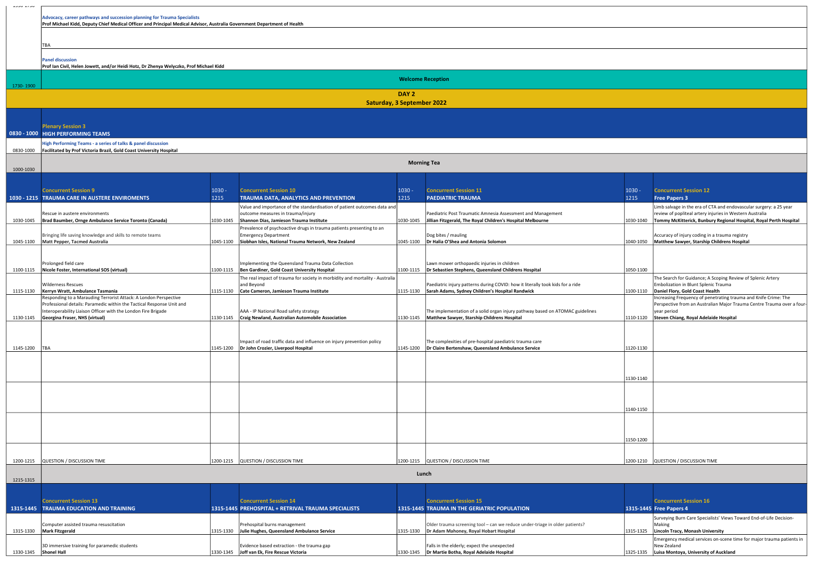| ∪ר וד∟∩ררד |                                                                                                                                                                                                      |                  |                                                                                                               |                  |                                                                                                                                          |                  |                                                                                                                                            |  |  |  |  |
|------------|------------------------------------------------------------------------------------------------------------------------------------------------------------------------------------------------------|------------------|---------------------------------------------------------------------------------------------------------------|------------------|------------------------------------------------------------------------------------------------------------------------------------------|------------------|--------------------------------------------------------------------------------------------------------------------------------------------|--|--|--|--|
|            | Advocacy, career pathways and succession planning for Trauma Specialists<br>Prof Michael Kidd, Deputy Chief Medical Officer and Principal Medical Advisor, Australia Government Department of Health |                  |                                                                                                               |                  |                                                                                                                                          |                  |                                                                                                                                            |  |  |  |  |
|            |                                                                                                                                                                                                      |                  |                                                                                                               |                  |                                                                                                                                          |                  |                                                                                                                                            |  |  |  |  |
|            | TBA                                                                                                                                                                                                  |                  |                                                                                                               |                  |                                                                                                                                          |                  |                                                                                                                                            |  |  |  |  |
|            | <b>Panel discussion</b><br>Prof Ian Civil, Helen Jowett, and/or Heidi Hotz, Dr Zhenya Welyczko, Prof Michael Kidd                                                                                    |                  |                                                                                                               |                  |                                                                                                                                          |                  |                                                                                                                                            |  |  |  |  |
| 1730-1900  | <b>Welcome Reception</b>                                                                                                                                                                             |                  |                                                                                                               |                  |                                                                                                                                          |                  |                                                                                                                                            |  |  |  |  |
|            | DAY <sub>2</sub><br><b>Saturday, 3 September 2022</b>                                                                                                                                                |                  |                                                                                                               |                  |                                                                                                                                          |                  |                                                                                                                                            |  |  |  |  |
|            |                                                                                                                                                                                                      |                  |                                                                                                               |                  |                                                                                                                                          |                  |                                                                                                                                            |  |  |  |  |
|            | <b>Plenary Session 3</b>                                                                                                                                                                             |                  |                                                                                                               |                  |                                                                                                                                          |                  |                                                                                                                                            |  |  |  |  |
|            | 0830 - 1000 HIGH PERFORMING TEAMS<br>High Performing Teams - a series of talks & panel discussion                                                                                                    |                  |                                                                                                               |                  |                                                                                                                                          |                  |                                                                                                                                            |  |  |  |  |
| 0830-1000  | Facilitated by Prof Victoria Brazil, Gold Coast University Hospital                                                                                                                                  |                  |                                                                                                               |                  |                                                                                                                                          |                  |                                                                                                                                            |  |  |  |  |
| 1000-1030  |                                                                                                                                                                                                      |                  |                                                                                                               |                  | <b>Morning Tea</b>                                                                                                                       |                  |                                                                                                                                            |  |  |  |  |
|            |                                                                                                                                                                                                      |                  |                                                                                                               |                  |                                                                                                                                          |                  |                                                                                                                                            |  |  |  |  |
|            | <b>Concurrent Session 9</b><br>1030 - 1215 TRAUMA CARE IN AUSTERE ENVIROMENTS                                                                                                                        | $1030 -$<br>1215 | <b>Concurrent Session 10</b><br>TRAUMA DATA, ANALYTICS AND PREVENTION                                         | $1030 -$<br>1215 | <b>Concurrent Session 11</b><br><b>PAEDIATRIC TRAUMA</b>                                                                                 | $1030 -$<br>1215 | <b>Concurrent Session 12</b><br><b>Free Papers 3</b>                                                                                       |  |  |  |  |
|            |                                                                                                                                                                                                      |                  | Value and importance of the standardisation of patient outcomes data and                                      |                  |                                                                                                                                          |                  | Limb salvage in the era of CTA and endovascular surgery: a 25 year                                                                         |  |  |  |  |
| 1030-1045  | Rescue in austere environments<br>Brad Baumber, Ornge Ambulance Service Toronto (Canada)                                                                                                             | 1030-1045        | outcome measures in trauma/injury<br>Shannon Dias, Jamieson Trauma Institute                                  | 1030-1045        | Paediatric Post Traumatic Amnesia Assessment and Management<br>Jillian Fitzgerald, The Royal Children's Hospital Melbourne               |                  | review of popliteal artery injuries in Western Australia<br>1030-1040   Tommy McKitterick, Bunbury Regional Hospital, Royal Perth Hospital |  |  |  |  |
|            | Bringing life saving knowledge and skills to remote teams                                                                                                                                            |                  | Prevalence of psychoactive drugs in trauma patients presenting to an<br><b>Emergency Department</b>           |                  | Dog bites / mauling                                                                                                                      |                  | Accuracy of injury coding in a trauma registry                                                                                             |  |  |  |  |
| 1045-1100  | Matt Pepper, Tacmed Australia                                                                                                                                                                        | 1045-1100        | Siobhan Isles, National Trauma Network, New Zealand                                                           | 1045-1100        | Dr Halia O'Shea and Antonia Solomon                                                                                                      | 1040-1050        | Matthew Sawyer, Starship Childrens Hospital                                                                                                |  |  |  |  |
|            |                                                                                                                                                                                                      |                  |                                                                                                               |                  |                                                                                                                                          |                  |                                                                                                                                            |  |  |  |  |
| 1100-1115  | Prolonged field care<br>Nicole Foster, International SOS (virtual)                                                                                                                                   |                  | Implementing the Queensland Trauma Data Collection<br>1100-1115  Ben Gardiner, Gold Coast University Hospital |                  | Lawn mower orthopaedic injuries in children<br>1100-1115   Dr Sebastien Stephens, Queensland Childrens Hospital                          | 1050-1100        |                                                                                                                                            |  |  |  |  |
|            | Wilderness Rescues                                                                                                                                                                                   |                  | The real impact of trauma for society in morbidity and mortality - Australia<br>and Beyond                    |                  | Paediatric injury patterns during COVID: how it literally took kids for a ride                                                           |                  | The Search for Guidance; A Scoping Review of Splenic Artery<br>Embolization in Blunt Splenic Trauma                                        |  |  |  |  |
| 1115-1130  | Kerryn Wratt, Ambulance Tasmania                                                                                                                                                                     | 1115-1130        | Cate Cameron, Jamieson Trauma Institute                                                                       | 1115-1130        | Sarah Adams, Sydney Children's Hospital Randwick                                                                                         | 1100-1110        | Daniel Flory, Gold Coast Health<br>Increasing Frequency of penetrating trauma and Knife Crime: The                                         |  |  |  |  |
|            | Responding to a Marauding Terrorist Attack: A London Perspective<br>Professional details: Paramedic within the Tactical Response Unit and                                                            |                  |                                                                                                               |                  |                                                                                                                                          |                  | Perspective from an Australian Major Trauma Centre Trauma over a four-                                                                     |  |  |  |  |
|            | nteroperability Liaison Officer with the London Fire Brigade<br>1130-1145 Georgina Fraser, NHS (virtual)                                                                                             |                  | AAA - IP National Road safety strategy<br>1130-1145 Craig Newland, Australian Automobile Association          |                  | The implementation of a solid organ injury pathway based on ATOMAC guidelines<br>1130-1145   Matthew Sawyer, Starship Childrens Hospital |                  | year period<br>1110-1120 Steven Chiang, Royal Adelaide Hospital                                                                            |  |  |  |  |
|            |                                                                                                                                                                                                      |                  |                                                                                                               |                  |                                                                                                                                          |                  |                                                                                                                                            |  |  |  |  |
| 1145-1200  | TBA                                                                                                                                                                                                  | 1145-1200        | Impact of road traffic data and influence on injury prevention policy<br>Dr John Crozier, Liverpool Hospital  | 1145-1200        | The complexities of pre-hospital paediatric trauma care<br>Dr Claire Bertenshaw, Queensland Ambulance Service                            | 1120-1130        |                                                                                                                                            |  |  |  |  |
|            |                                                                                                                                                                                                      |                  |                                                                                                               |                  |                                                                                                                                          |                  |                                                                                                                                            |  |  |  |  |
|            |                                                                                                                                                                                                      |                  |                                                                                                               |                  |                                                                                                                                          |                  |                                                                                                                                            |  |  |  |  |
|            |                                                                                                                                                                                                      |                  |                                                                                                               |                  |                                                                                                                                          | 1130-1140        |                                                                                                                                            |  |  |  |  |
|            |                                                                                                                                                                                                      |                  |                                                                                                               |                  |                                                                                                                                          |                  |                                                                                                                                            |  |  |  |  |
|            |                                                                                                                                                                                                      |                  |                                                                                                               |                  |                                                                                                                                          | 1140-1150        |                                                                                                                                            |  |  |  |  |
|            |                                                                                                                                                                                                      |                  |                                                                                                               |                  |                                                                                                                                          |                  |                                                                                                                                            |  |  |  |  |
|            |                                                                                                                                                                                                      |                  |                                                                                                               |                  |                                                                                                                                          |                  |                                                                                                                                            |  |  |  |  |
|            |                                                                                                                                                                                                      |                  |                                                                                                               |                  |                                                                                                                                          | 1150-1200        |                                                                                                                                            |  |  |  |  |
| 1200-1215  | QUESTION / DISCUSSION TIME                                                                                                                                                                           |                  | 1200-1215 QUESTION / DISCUSSION TIME                                                                          |                  | 1200-1215 QUESTION / DISCUSSION TIME                                                                                                     |                  | 1200-1210 QUESTION / DISCUSSION TIME                                                                                                       |  |  |  |  |
|            |                                                                                                                                                                                                      |                  |                                                                                                               |                  | Lunch                                                                                                                                    |                  |                                                                                                                                            |  |  |  |  |
| 1215-1315  |                                                                                                                                                                                                      |                  |                                                                                                               |                  |                                                                                                                                          |                  |                                                                                                                                            |  |  |  |  |
|            | <b>Concurrent Session 13</b>                                                                                                                                                                         |                  | <b>Concurrent Session 14</b>                                                                                  |                  | <b>Concurrent Session 15</b>                                                                                                             |                  | <b>Concurrent Session 16</b>                                                                                                               |  |  |  |  |
|            | 1315-1445 TRAUMA EDUCATION AND TRAINING                                                                                                                                                              |                  | 1315-1445 PREHOSPITAL + RETRIVAL TRAUMA SPECIALISTS                                                           |                  | 1315-1445 TRAUMA IN THE GERIATRIC POPULATION                                                                                             |                  | 1315-1445 Free Papers 4<br>Surveying Burn Care Specialists' Views Toward End-of-Life Decision-                                             |  |  |  |  |
|            | Computer assisted trauma resuscitation                                                                                                                                                               |                  | Prehospital burns management                                                                                  |                  | Older trauma screening tool - can we reduce under-triage in older patients?                                                              |                  | Making                                                                                                                                     |  |  |  |  |
|            | 1315-1330   Mark Fitzgerald                                                                                                                                                                          | 1315-1330        | Julie Hughes, Queensland Ambulance Service                                                                    |                  | 1315-1330  Dr Adam Mahoney, Royal Hobart Hospital                                                                                        | 1315-1325        | Lincoln Tracy, Monash University<br>Emergency medical services on-scene time for major trauma patients in                                  |  |  |  |  |

1330-1345

3D immersive training for paramedic students

Shonel Hall 1330-1345

Evidence based extraction - the trauma gap

Joff van Ek, Fire Rescue Victoria 1330-1345

| <b>Concurrent Session 15</b>                                                |           | <b>Concurrent Session 16</b>                                          |
|-----------------------------------------------------------------------------|-----------|-----------------------------------------------------------------------|
| <b>TRAUMA IN THE GERIATRIC POPULATION</b>                                   |           | 1315-1445 Free Papers 4                                               |
|                                                                             |           | Surveying Burn Care Specialists' Views Toward End-of-Life Decision-   |
| Older trauma screening tool - can we reduce under-triage in older patients? |           | Making                                                                |
| Dr Adam Mahoney, Royal Hobart Hospital                                      | 1315-1325 | Lincoln Tracy, Monash University                                      |
|                                                                             |           | Emergency medical services on-scene time for major trauma patients in |
| Falls in the elderly; expect the unexpected                                 |           | New Zealand                                                           |
| Dr Martie Botha, Royal Adelaide Hospital                                    | 1325-1335 | Luisa Montoya, University of Auckland                                 |